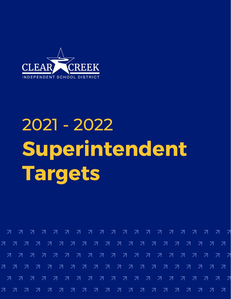

# 2021 - 2022 **Superintendent Targets**

7 7 7 7 7 7 7 7 7 7 7 7 7 7 7 7 7 フランス スマック 7 7 7 7 7 7 7 7 7 7 7 7 7 7 7 7 7 7 7 7 7 7 7 7 7 7 7 7 7 7 7 7 7 7 7 7 7 7 7 7 7 7 7 7 7 7 7 7 7 7 7 7 7 7 7 7 7 7 7 7 7 7 7 7 7 7 7 777  $\overline{z}$  $7^{\circ}$  $\overline{z}$ 77  $\mathbf{z} \quad \mathbf{z}$ 777 フラス  $\overline{\mathcal{A}}$ 71 71 71 71 **27** - 71 7 7 7 7 71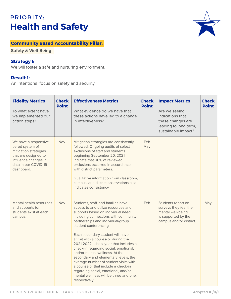# PRIORITY: **Health and Safety**



## **Community Based Accountability Pillar:**

**Safety & Well-Being**

#### **Strategy I:**

We will foster a safe and nurturing environment.

#### **Result 1:**

An intentional focus on safety and security.

| <b>Fidelity Metrics</b><br>To what extent have<br>we implemented our<br>action steps?                                                                    | <b>Check</b><br><b>Point</b> | <b>Effectiveness Metrics</b><br>What evidence do we have that<br>these actions have led to a change<br>in effectiveness?                                                                                                                                                                                                                                                                                                                                                                                                                                                                                                                       | <b>Check</b><br><b>Point</b> | <b>Impact Metrics</b><br>Are we seeing<br>indications that<br>these changes are<br>leading to long term,<br>sustainable impact? | <b>Check</b><br><b>Point</b> |
|----------------------------------------------------------------------------------------------------------------------------------------------------------|------------------------------|------------------------------------------------------------------------------------------------------------------------------------------------------------------------------------------------------------------------------------------------------------------------------------------------------------------------------------------------------------------------------------------------------------------------------------------------------------------------------------------------------------------------------------------------------------------------------------------------------------------------------------------------|------------------------------|---------------------------------------------------------------------------------------------------------------------------------|------------------------------|
| We have a responsive,<br>tiered system of<br>mitigation strategies<br>that are designed to<br>influence changes in<br>data in our COVID-19<br>dashboard. | Nov.                         | Mitigation strategies are consistently<br>followed. Ongoing audits of select<br>exclusions of staff and students<br>beginning September 20, 2021<br>indicate that 90% of reviewed<br>exclusions occurred in accordance<br>with district parameters.<br>Qualitative information from classroom,<br>campus, and district observations also<br>indicates consistency.                                                                                                                                                                                                                                                                             | Feb<br>May                   |                                                                                                                                 |                              |
| Mental health resources<br>and supports for<br>students exist at each<br>campus.                                                                         | Nov.                         | Students, staff, and families have<br>access to and utilize resources and<br>supports based on individual need,<br>including connections with community<br>partnerships and individual/group<br>student conferencing.<br>Each secondary student will have<br>a visit with a counselor during the<br>2021-2022 school year that includes a<br>check-in regarding social, emotional,<br>and/or mental wellness. At the<br>secondary and elementary levels, the<br>average number of student visits with<br>a counselor that include a check-in<br>regarding social, emotional, and/or<br>mental wellness will be three and one,<br>respectively. | Feb                          | Students report on<br>surveys they feel their<br>mental well-being<br>is supported by the<br>campus and/or district.            | May                          |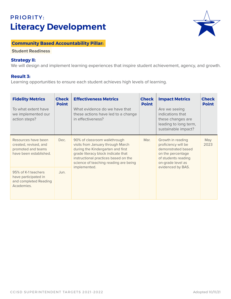# PRIORITY: **Literacy Development**



#### **Community Based Accountability Pillar:**

**Student Readiness** 

#### **Strategy II:**

We will design and implement learning experiences that inspire student achievement, agency, and growth.

#### **Result 3:**

Learning opportunities to ensure each student achieves high levels of learning.

| <b>Fidelity Metrics</b><br>To what extent have<br>we implemented our<br>action steps?        | <b>Check</b><br><b>Point</b> | <b>Effectiveness Metrics</b><br>What evidence do we have that<br>these actions have led to a change<br>in effectiveness?                                                                                                                      | <b>Check</b><br><b>Point</b> | <b>Impact Metrics</b><br>Are we seeing<br>indications that<br>these changes are<br>leading to long term,<br>sustainable impact?                      | <b>Check</b><br><b>Point</b> |
|----------------------------------------------------------------------------------------------|------------------------------|-----------------------------------------------------------------------------------------------------------------------------------------------------------------------------------------------------------------------------------------------|------------------------------|------------------------------------------------------------------------------------------------------------------------------------------------------|------------------------------|
| Resources have been<br>created, revised, and<br>promoted and teams<br>have been established. | Dec.                         | 90% of classroom walkthrough<br>visits from January through March<br>during the Kindergarten and first<br>grade literacy block indicate that<br>instructional practices based on the<br>science of teaching reading are being<br>implemented. | Mar.                         | Growth in reading<br>proficiency will be<br>demonstrated based<br>on the percentage<br>of students reading<br>on-grade level as<br>evidenced by BAS. | May<br>2023                  |
| 95% of K-1 teachers<br>have participated in<br>and completed Reading<br>Academies.           | Jun.                         |                                                                                                                                                                                                                                               |                              |                                                                                                                                                      |                              |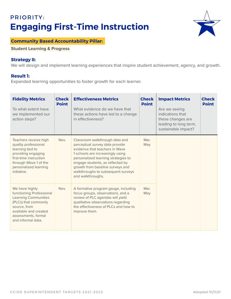# PRIORITY: **Engaging First-Time Instruction**



### **Community Based Accountability Pillar:**

**Student Learning & Progress** 

#### **Strategy II:**

We will design and implement learning experiences that inspire student achievement, agency, and growth.

#### **Result 1:**

Expanded learning opportunities to foster growth for each learner.

| <b>Fidelity Metrics</b><br>To what extent have<br>we implemented our<br>action steps?                                                                                                   | <b>Check</b><br><b>Point</b> | <b>Effectiveness Metrics</b><br>What evidence do we have that<br>these actions have led to a change<br>in effectiveness?                                                                                                                                                                                         | <b>Check</b><br><b>Point</b> | <b>Impact Metrics</b><br>Are we seeing<br>indications that<br>these changes are<br>leading to long term,<br>sustainable impact? | <b>Check</b><br><b>Point</b> |
|-----------------------------------------------------------------------------------------------------------------------------------------------------------------------------------------|------------------------------|------------------------------------------------------------------------------------------------------------------------------------------------------------------------------------------------------------------------------------------------------------------------------------------------------------------|------------------------------|---------------------------------------------------------------------------------------------------------------------------------|------------------------------|
| Teachers receive high<br>quality professional<br>learning tied to<br>providing engaging<br>first-time instruction<br>through Wave 1 of the<br>personalized learning<br>initiative.      | Nov.                         | Classroom walkthrough data and<br>perceptual survey data provide<br>evidence that teachers in Wave<br>1 schools are increasingly using<br>personalized learning strategies to<br>engage students, as reflected by<br>growth from baseline surveys and<br>walkthroughs to subsequent surveys<br>and walkthroughs. | Mar.<br>May                  |                                                                                                                                 |                              |
| We have highly<br>functioning Professional<br><b>Learning Communities</b><br>(PLCs) that commonly<br>source, from<br>available and created<br>assessments, formal<br>and informal data. | Nov.                         | A formative program gauge, including<br>focus groups, observations, and a<br>review of PLC agendas will yield<br>qualitative observations regarding<br>the effectiveness of PLCs and how to<br>improve them.                                                                                                     | Mar.<br>May                  |                                                                                                                                 |                              |